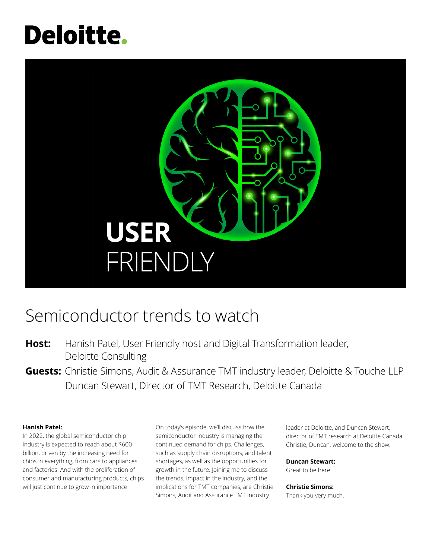# **Deloitte.**



# Semiconductor trends to watch

- **Host:** Hanish Patel, User Friendly host and Digital Transformation leader, Deloitte Consulting
- **Guests:** Christie Simons, Audit & Assurance TMT industry leader, Deloitte & Touche LLP Duncan Stewart, Director of TMT Research, Deloitte Canada

# **Hanish Patel:**

In 2022, the global semiconductor chip industry is expected to reach about \$600 billion, driven by the increasing need for chips in everything, from cars to appliances and factories. And with the proliferation of consumer and manufacturing products, chips will just continue to grow in importance.

On today's episode, we'll discuss how the semiconductor industry is managing the continued demand for chips. Challenges, such as supply chain disruptions, and talent shortages, as well as the opportunities for growth in the future. Joining me to discuss the trends, impact in the industry, and the implications for TMT companies, are Christie Simons, Audit and Assurance TMT industry

leader at Deloitte, and Duncan Stewart, director of TMT research at Deloitte Canada. Christie, Duncan, welcome to the show.

# **Duncan Stewart:**

Great to be here.

# **Christie Simons:**

Thank you very much.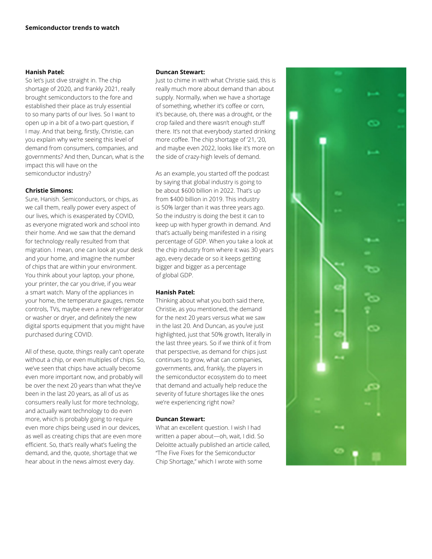#### **Hanish Patel:**

So let's just dive straight in. The chip shortage of 2020, and frankly 2021, really brought semiconductors to the fore and established their place as truly essential to so many parts of our lives. So I want to open up in a bit of a two-part question, if I may. And that being, firstly, Christie, can you explain why we're seeing this level of demand from consumers, companies, and governments? And then, Duncan, what is the impact this will have on the semiconductor industry?

# **Christie Simons:**

Sure, Hanish. Semiconductors, or chips, as we call them, really power every aspect of our lives, which is exasperated by COVID, as everyone migrated work and school into their home. And we saw that the demand for technology really resulted from that migration. I mean, one can look at your desk and your home, and imagine the number of chips that are within your environment. You think about your laptop, your phone, your printer, the car you drive, if you wear a smart watch. Many of the appliances in your home, the temperature gauges, remote controls, TVs, maybe even a new refrigerator or washer or dryer, and definitely the new digital sports equipment that you might have purchased during COVID.

All of these, quote, things really can't operate without a chip, or even multiples of chips. So, we've seen that chips have actually become even more important now, and probably will be over the next 20 years than what they've been in the last 20 years, as all of us as consumers really lust for more technology, and actually want technology to do even more, which is probably going to require even more chips being used in our devices, as well as creating chips that are even more efficient. So, that's really what's fueling the demand, and the, quote, shortage that we hear about in the news almost every day.

#### **Duncan Stewart:**

Just to chime in with what Christie said, this is really much more about demand than about supply. Normally, when we have a shortage of something, whether it's coffee or corn, it's because, oh, there was a drought, or the crop failed and there wasn't enough stuff there. It's not that everybody started drinking more coffee. The chip shortage of '21, '20, and maybe even 2022, looks like it's more on the side of crazy-high levels of demand.

As an example, you started off the podcast by saying that global industry is going to be about \$600 billion in 2022. That's up from \$400 billion in 2019. This industry is 50% larger than it was three years ago. So the industry is doing the best it can to keep up with hyper growth in demand. And that's actually being manifested in a rising percentage of GDP. When you take a look at the chip industry from where it was 30 years ago, every decade or so it keeps getting bigger and bigger as a percentage of global GDP.

# **Hanish Patel:**

Thinking about what you both said there, Christie, as you mentioned, the demand for the next 20 years versus what we saw in the last 20. And Duncan, as you've just highlighted, just that 50% growth, literally in the last three years. So if we think of it from that perspective, as demand for chips just continues to grow, what can companies, governments, and, frankly, the players in the semiconductor ecosystem do to meet that demand and actually help reduce the severity of future shortages like the ones we're experiencing right now?

# **Duncan Stewart:**

What an excellent question. I wish I had written a paper about—oh, wait, I did. So Deloitte actually published an article called, "The Five Fixes for the Semiconductor Chip Shortage," which I wrote with some

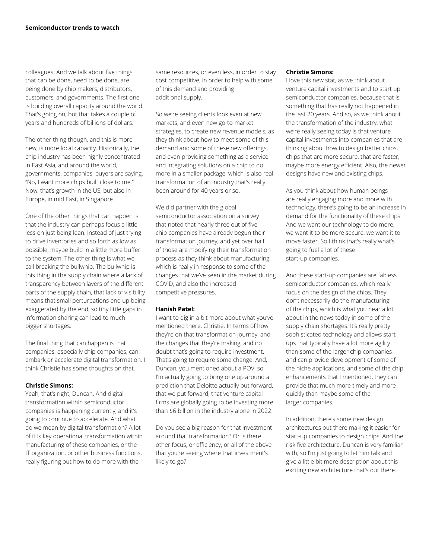colleagues. And we talk about five things that can be done, need to be done, are being done by chip makers, distributors, customers, and governments. The first one is building overall capacity around the world. That's going on, but that takes a couple of years and hundreds of billions of dollars.

The other thing though, and this is more new, is more local capacity. Historically, the chip industry has been highly concentrated in East Asia, and around the world, governments, companies, buyers are saying, "No, I want more chips built close to me." Now, that's growth in the US, but also in Europe, in mid East, in Singapore.

One of the other things that can happen is that the industry can perhaps focus a little less on just being lean. Instead of just trying to drive inventories and so forth as low as possible, maybe build in a little more buffer to the system. The other thing is what we call breaking the bullwhip. The bullwhip is this thing in the supply chain where a lack of transparency between layers of the different parts of the supply chain, that lack of visibility means that small perturbations end up being exaggerated by the end, so tiny little gaps in information sharing can lead to much bigger shortages.

The final thing that can happen is that companies, especially chip companies, can embark or accelerate digital transformation. I think Christie has some thoughts on that.

#### **Christie Simons:**

Yeah, that's right, Duncan. And digital transformation within semiconductor companies is happening currently, and it's going to continue to accelerate. And what do we mean by digital transformation? A lot of it is key operational transformation within manufacturing of these companies, or the IT organization, or other business functions, really figuring out how to do more with the

same resources, or even less, in order to stay cost competitive, in order to help with some of this demand and providing additional supply.

So we're seeing clients look even at new markets, and even new go-to-market strategies, to create new revenue models, as they think about how to meet some of this demand and some of these new offerings, and even providing something as a service and integrating solutions on a chip to do more in a smaller package, which is also real transformation of an industry that's really been around for 40 years or so.

We did partner with the global semiconductor association on a survey that noted that nearly three out of five chip companies have already begun their transformation journey, and yet over half of those are modifying their transformation process as they think about manufacturing, which is really in response to some of the changes that we've seen in the market during COVID, and also the increased competitive pressures.

#### **Hanish Patel:**

I want to dig in a bit more about what you've mentioned there, Christie. In terms of how they're on that transformation journey, and the changes that they're making, and no doubt that's going to require investment. That's going to require some change. And, Duncan, you mentioned about a POV, so I'm actually going to bring one up around a prediction that Deloitte actually put forward, that we put forward, that venture capital firms are globally going to be investing more than \$6 billion in the industry alone in 2022.

Do you see a big reason for that investment around that transformation? Or is there other focus, or efficiency, or all of the above that you're seeing where that investment's likely to go?

#### **Christie Simons:**

I love this new stat, as we think about venture capital investments and to start up semiconductor companies, because that is something that has really not happened in the last 20 years. And so, as we think about the transformation of the industry, what we're really seeing today is that venture capital investments into companies that are thinking about how to design better chips, chips that are more secure, that are faster, maybe more energy efficient. Also, the newer designs have new and existing chips.

As you think about how human beings are really engaging more and more with technology, there's going to be an increase in demand for the functionality of these chips. And we want our technology to do more, we want it to be more secure, we want it to move faster. So I think that's really what's going to fuel a lot of these start-up companies.

And these start-up companies are fabless semiconductor companies, which really focus on the design of the chips. They don't necessarily do the manufacturing of the chips, which is what you hear a lot about in the news today in some of the supply chain shortages. It's really pretty sophisticated technology and allows startups that typically have a lot more agility than some of the larger chip companies and can provide development of some of the niche applications, and some of the chip enhancements that I mentioned, they can provide that much more timely and more quickly than maybe some of the larger companies.

In addition, there's some new design architectures out there making it easier for start-up companies to design chips. And the risk five architecture, Duncan is very familiar with, so I'm just going to let him talk and give a little bit more description about this exciting new architecture that's out there.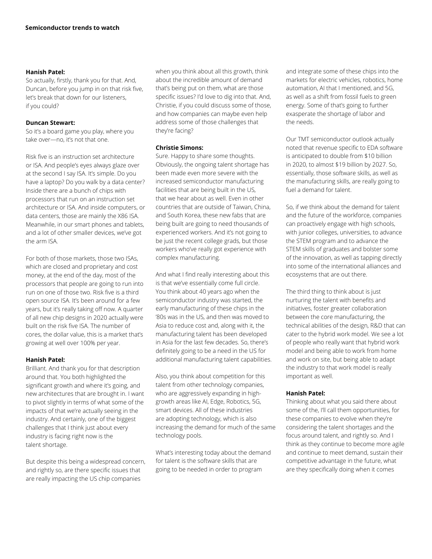#### **Hanish Patel:**

So actually, firstly, thank you for that. And, Duncan, before you jump in on that risk five, let's break that down for our listeners, if you could?

# **Duncan Stewart:**

So it's a board game you play, where you take over—no, it's not that one.

Risk five is an instruction set architecture or ISA. And people's eyes always glaze over at the second I say ISA. It's simple. Do you have a laptop? Do you walk by a data center? Inside there are a bunch of chips with processors that run on an instruction set architecture or ISA. And inside computers, or data centers, those are mainly the X86 ISA. Meanwhile, in our smart phones and tablets, and a lot of other smaller devices, we've got the arm ISA.

For both of those markets, those two ISAs, which are closed and proprietary and cost money, at the end of the day, most of the processors that people are going to run into run on one of those two. Risk five is a third open source ISA. It's been around for a few years, but it's really taking off now. A quarter of all new chip designs in 2020 actually were built on the risk five ISA. The number of cores, the dollar value, this is a market that's growing at well over 100% per year.

# **Hanish Patel:**

Brilliant. And thank you for that description around that. You both highlighted the significant growth and where it's going, and new architectures that are brought in. I want to pivot slightly in terms of what some of the impacts of that we're actually seeing in the industry. And certainly, one of the biggest challenges that I think just about every industry is facing right now is the talent shortage.

But despite this being a widespread concern, and rightly so, are there specific issues that are really impacting the US chip companies

when you think about all this growth, think about the incredible amount of demand that's being put on them, what are those specific issues? I'd love to dig into that. And, Christie, if you could discuss some of those, and how companies can maybe even help address some of those challenges that they're facing?

# **Christie Simons:**

Sure. Happy to share some thoughts. Obviously, the ongoing talent shortage has been made even more severe with the increased semiconductor manufacturing facilities that are being built in the US, that we hear about as well. Even in other countries that are outside of Taiwan, China, and South Korea, these new fabs that are being built are going to need thousands of experienced workers. And it's not going to be just the recent college grads, but those workers who've really got experience with complex manufacturing.

And what I find really interesting about this is that we've essentially come full circle. You think about 40 years ago when the semiconductor industry was started, the early manufacturing of these chips in the '80s was in the US, and then was moved to Asia to reduce cost and, along with it, the manufacturing talent has been developed in Asia for the last few decades. So, there's definitely going to be a need in the US for additional manufacturing talent capabilities.

Also, you think about competition for this talent from other technology companies, who are aggressively expanding in highgrowth areas like AI, Edge, Robotics, 5G, smart devices. All of these industries are adopting technology, which is also increasing the demand for much of the same technology pools.

What's interesting today about the demand for talent is the software skills that are going to be needed in order to program

and integrate some of these chips into the markets for electric vehicles, robotics, home automation, AI that I mentioned, and 5G, as well as a shift from fossil fuels to green energy. Some of that's going to further exasperate the shortage of labor and the needs.

Our TMT semiconductor outlook actually noted that revenue specific to EDA software is anticipated to double from \$10 billion in 2020, to almost \$19 billion by 2027. So, essentially, those software skills, as well as the manufacturing skills, are really going to fuel a demand for talent.

So, if we think about the demand for talent and the future of the workforce, companies can proactively engage with high schools, with junior colleges, universities, to advance the STEM program and to advance the STEM skills of graduates and bolster some of the innovation, as well as tapping directly into some of the international alliances and ecosystems that are out there.

The third thing to think about is just nurturing the talent with benefits and initiatives, foster greater collaboration between the core manufacturing, the technical abilities of the design, R&D that can cater to the hybrid work model. We see a lot of people who really want that hybrid work model and being able to work from home and work on site, but being able to adapt the industry to that work model is really important as well.

# **Hanish Patel:**

Thinking about what you said there about some of the, I'll call them opportunities, for these companies to evolve when they're considering the talent shortages and the focus around talent, and rightly so. And I think as they continue to become more agile and continue to meet demand, sustain their competitive advantage in the future, what are they specifically doing when it comes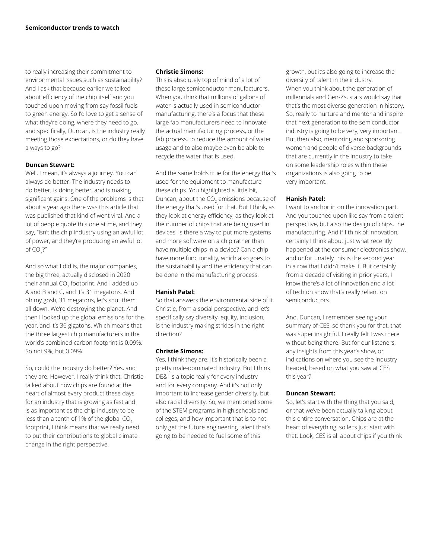to really increasing their commitment to environmental issues such as sustainability? And I ask that because earlier we talked about efficiency of the chip itself and you touched upon moving from say fossil fuels to green energy. So I'd love to get a sense of what they're doing, where they need to go, and specifically, Duncan, is the industry really meeting those expectations, or do they have a ways to go?

#### **Duncan Stewart:**

Well, I mean, it's always a journey. You can always do better. The industry needs to do better, is doing better, and is making significant gains. One of the problems is that about a year ago there was this article that was published that kind of went viral. And a lot of people quote this one at me, and they say, "Isn't the chip industry using an awful lot of power, and they're producing an awful lot of CO $_2$ ?"

And so what I did is, the major companies, the big three, actually disclosed in 2020 their annual CO $_{\textrm{\tiny{2}}}$  footprint. And I added up A and B and C, and it's 31 megatons. And oh my gosh, 31 megatons, let's shut them all down. We're destroying the planet. And then I looked up the global emissions for the year, and it's 36 gigatons. Which means that the three largest chip manufacturers in the world's combined carbon footprint is 0.09%. So not 9%, but 0.09%.

So, could the industry do better? Yes, and they are. However, I really think that, Christie talked about how chips are found at the heart of almost every product these days, for an industry that is growing as fast and is as important as the chip industry to be less than a tenth of 1% of the global  $CO<sub>2</sub>$ footprint, I think means that we really need to put their contributions to global climate change in the right perspective.

#### **Christie Simons:**

This is absolutely top of mind of a lot of these large semiconductor manufacturers. When you think that millions of gallons of water is actually used in semiconductor manufacturing, there's a focus that these large fab manufacturers need to innovate the actual manufacturing process, or the fab process, to reduce the amount of water usage and to also maybe even be able to recycle the water that is used.

And the same holds true for the energy that's used for the equipment to manufacture these chips. You highlighted a little bit, Duncan, about the CO<sub>2</sub> emissions because of the energy that's used for that. But I think, as they look at energy efficiency, as they look at the number of chips that are being used in devices, is there a way to put more systems and more software on a chip rather than have multiple chips in a device? Can a chip have more functionality, which also goes to the sustainability and the efficiency that can be done in the manufacturing process.

#### **Hanish Patel:**

So that answers the environmental side of it. Christie, from a social perspective, and let's specifically say diversity, equity, inclusion, is the industry making strides in the right direction?

#### **Christie Simons:**

Yes, I think they are. It's historically been a pretty male-dominated industry. But I think DE&I is a topic really for every industry and for every company. And it's not only important to increase gender diversity, but also racial diversity. So, we mentioned some of the STEM programs in high schools and colleges, and how important that is to not only get the future engineering talent that's going to be needed to fuel some of this

growth, but it's also going to increase the diversity of talent in the industry. When you think about the generation of millennials and Gen-Zs, stats would say that that's the most diverse generation in history. So, really to nurture and mentor and inspire that next generation to the semiconductor industry is going to be very, very important. But then also, mentoring and sponsoring women and people of diverse backgrounds that are currently in the industry to take on some leadership roles within these organizations is also going to be very important.

## **Hanish Patel:**

I want to anchor in on the innovation part. And you touched upon like say from a talent perspective, but also the design of chips, the manufacturing. And if I think of innovation, certainly I think about just what recently happened at the consumer electronics show, and unfortunately this is the second year in a row that I didn't make it. But certainly from a decade of visiting in prior years, I know there's a lot of innovation and a lot of tech on show that's really reliant on semiconductors.

And, Duncan, I remember seeing your summary of CES, so thank you for that, that was super insightful. I really felt I was there without being there. But for our listeners, any insights from this year's show, or indications on where you see the industry headed, based on what you saw at CES this year?

# **Duncan Stewart:**

So, let's start with the thing that you said, or that we've been actually talking about this entire conversation. Chips are at the heart of everything, so let's just start with that. Look, CES is all about chips if you think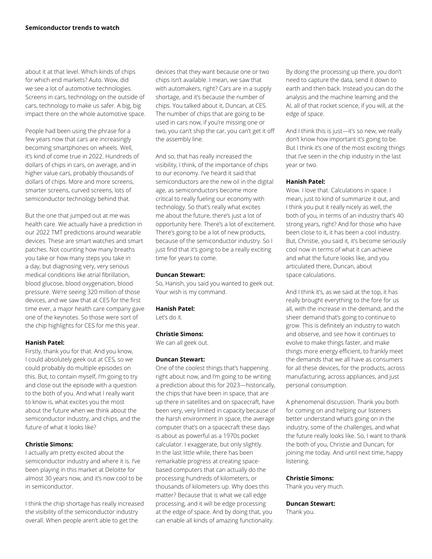about it at that level. Which kinds of chips for which end markets? Auto. Wow, did we see a lot of automotive technologies. Screens in cars, technology on the outside of cars, technology to make us safer. A big, big impact there on the whole automotive space.

People had been using the phrase for a few years now that cars are increasingly becoming smartphones on wheels. Well, it's kind of come true in 2022. Hundreds of dollars of chips in cars, on average, and in higher value cars, probably thousands of dollars of chips. More and more screens, smarter screens, curved screens, lots of semiconductor technology behind that.

But the one that jumped out at me was health care. We actually have a prediction in our 2022 TMT predictions around wearable devices. These are smart watches and smart patches. Not counting how many breaths you take or how many steps you take in a day, but diagnosing very, very serious medical conditions like atrial fibrillation, blood glucose, blood oxygenation, blood pressure. We're seeing 320 million of those devices, and we saw that at CES for the first time ever, a major health care company gave one of the keynotes. So those were sort of the chip highlights for CES for me this year.

#### **Hanish Patel:**

Firstly, thank you for that. And you know, I could absolutely geek out at CES, so we could probably do multiple episodes on this. But, to contain myself, I'm going to try and close out the episode with a question to the both of you. And what I really want to know is, what excites you the most about the future when we think about the semiconductor industry, and chips, and the future of what it looks like?

#### **Christie Simons:**

I actually am pretty excited about the semiconductor industry and where it is. I've been playing in this market at Deloitte for almost 30 years now, and it's now cool to be in semiconductor.

I think the chip shortage has really increased the visibility of the semiconductor industry overall. When people aren't able to get the

devices that they want because one or two chips isn't available. I mean, we saw that with automakers, right? Cars are in a supply shortage, and it's because the number of chips. You talked about it, Duncan, at CES. The number of chips that are going to be used in cars now, if you're missing one or two, you can't ship the car, you can't get it off the assembly line.

And so, that has really increased the visibility, I think, of the importance of chips to our economy. I've heard it said that semiconductors are the new oil in the digital age, as semiconductors become more critical to really fueling our economy with technology. So that's really what excites me about the future, there's just a lot of opportunity here. There's a lot of excitement. There's going to be a lot of new products, because of the semiconductor industry. So I just find that it's going to be a really exciting time for years to come.

#### **Duncan Stewart:**

So, Hanish, you said you wanted to geek out. Your wish is my command.

#### **Hanish Patel:**

Let's do it.

## **Christie Simons:**

We can all geek out.

#### **Duncan Stewart:**

One of the coolest things that's happening right about now, and I'm going to be writing a prediction about this for 2023—historically, the chips that have been in space, that are up there in satellites and on spacecraft, have been very, very limited in capacity because of the harsh environment in space, the average computer that's on a spacecraft these days is about as powerful as a 1970s pocket calculator. I exaggerate, but only slightly. In the last little while, there has been remarkable progress at creating spacebased computers that can actually do the processing hundreds of kilometers, or thousands of kilometers up. Why does this matter? Because that is what we call edge processing, and it will be edge processing at the edge of space. And by doing that, you can enable all kinds of amazing functionality.

By doing the processing up there, you don't need to capture the data, send it down to earth and then back. Instead you can do the analysis and the machine learning and the AI, all of that rocket science, if you will, at the edge of space.

And I think this is just—it's so new, we really don't know how important it's going to be. But I think it's one of the most exciting things that I've seen in the chip industry in the last year or two.

#### **Hanish Patel:**

Wow. I love that. Calculations in space. I mean, just to kind of summarize it out, and I think you put it really nicely as well, the both of you, in terms of an industry that's 40 strong years, right? And for those who have been close to it, it has been a cool industry. But, Christie, you said it, it's become seriously cool now in terms of what it can achieve and what the future looks like, and you articulated there, Duncan, about space calculations.

And I think it's, as we said at the top, it has really brought everything to the fore for us all, with the increase in the demand, and the sheer demand that's going to continue to grow. This is definitely an industry to watch and observe, and see how it continues to evolve to make things faster, and make things more energy efficient, to frankly meet the demands that we all have as consumers for all these devices, for the products, across manufacturing, across appliances, and just personal consumption.

A phenomenal discussion. Thank you both for coming on and helping our listeners better understand what's going on in the industry, some of the challenges, and what the future really looks like. So, I want to thank the both of you, Christie and Duncan, for joining me today. And until next time, happy listening.

#### **Christie Simons:**

Thank you very much.

#### **Duncan Stewart:**

Thank you.